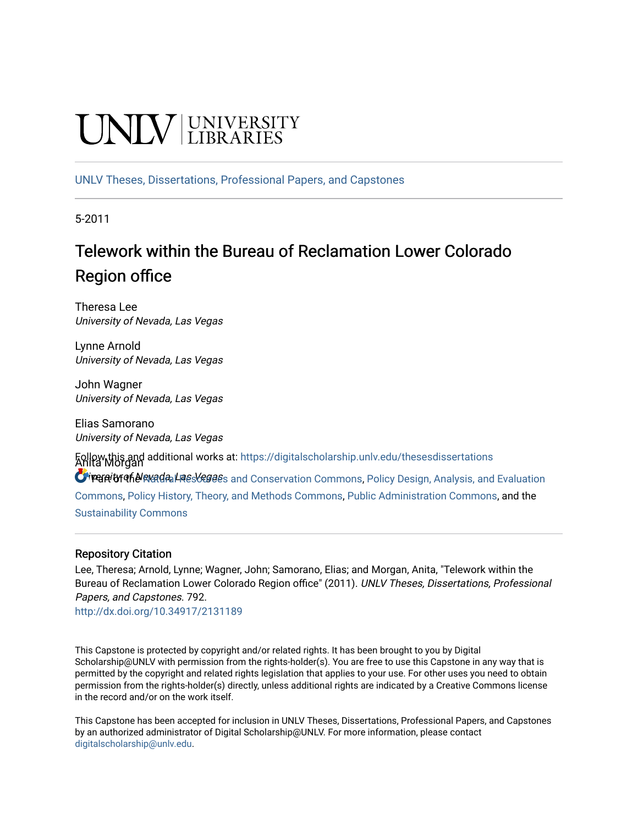# **CINITY** UNIVERSITY

[UNLV Theses, Dissertations, Professional Papers, and Capstones](https://digitalscholarship.unlv.edu/thesesdissertations)

5-2011

## Telework within the Bureau of Reclamation Lower Colorado Region office

Theresa Lee University of Nevada, Las Vegas

Lynne Arnold University of Nevada, Las Vegas

John Wagner University of Nevada, Las Vegas

Elias Samorano University of Nevada, Las Vegas

Anita Morgan Follow this and additional works at: [https://digitalscholarship.unlv.edu/thesesdissertations](https://digitalscholarship.unlv.edu/thesesdissertations?utm_source=digitalscholarship.unlv.edu%2Fthesesdissertations%2F792&utm_medium=PDF&utm_campaign=PDFCoverPages)

O reanity of Nevada, Las Vegas and Conservation Commons, [Policy Design, Analysis, and Evaluation](http://network.bepress.com/hgg/discipline/1032?utm_source=digitalscholarship.unlv.edu%2Fthesesdissertations%2F792&utm_medium=PDF&utm_campaign=PDFCoverPages) [Commons](http://network.bepress.com/hgg/discipline/1032?utm_source=digitalscholarship.unlv.edu%2Fthesesdissertations%2F792&utm_medium=PDF&utm_campaign=PDFCoverPages), [Policy History, Theory, and Methods Commons](http://network.bepress.com/hgg/discipline/1036?utm_source=digitalscholarship.unlv.edu%2Fthesesdissertations%2F792&utm_medium=PDF&utm_campaign=PDFCoverPages), [Public Administration Commons](http://network.bepress.com/hgg/discipline/398?utm_source=digitalscholarship.unlv.edu%2Fthesesdissertations%2F792&utm_medium=PDF&utm_campaign=PDFCoverPages), and the [Sustainability Commons](http://network.bepress.com/hgg/discipline/1031?utm_source=digitalscholarship.unlv.edu%2Fthesesdissertations%2F792&utm_medium=PDF&utm_campaign=PDFCoverPages)

#### Repository Citation

Lee, Theresa; Arnold, Lynne; Wagner, John; Samorano, Elias; and Morgan, Anita, "Telework within the Bureau of Reclamation Lower Colorado Region office" (2011). UNLV Theses, Dissertations, Professional Papers, and Capstones. 792.

<http://dx.doi.org/10.34917/2131189>

This Capstone is protected by copyright and/or related rights. It has been brought to you by Digital Scholarship@UNLV with permission from the rights-holder(s). You are free to use this Capstone in any way that is permitted by the copyright and related rights legislation that applies to your use. For other uses you need to obtain permission from the rights-holder(s) directly, unless additional rights are indicated by a Creative Commons license in the record and/or on the work itself.

This Capstone has been accepted for inclusion in UNLV Theses, Dissertations, Professional Papers, and Capstones by an authorized administrator of Digital Scholarship@UNLV. For more information, please contact [digitalscholarship@unlv.edu](mailto:digitalscholarship@unlv.edu).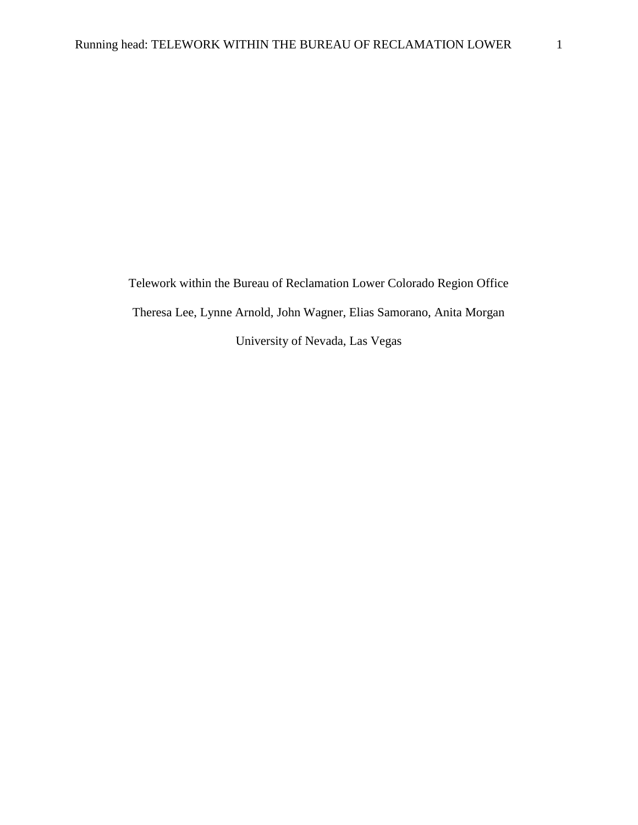Telework within the Bureau of Reclamation Lower Colorado Region Office Theresa Lee, Lynne Arnold, John Wagner, Elias Samorano, Anita Morgan University of Nevada, Las Vegas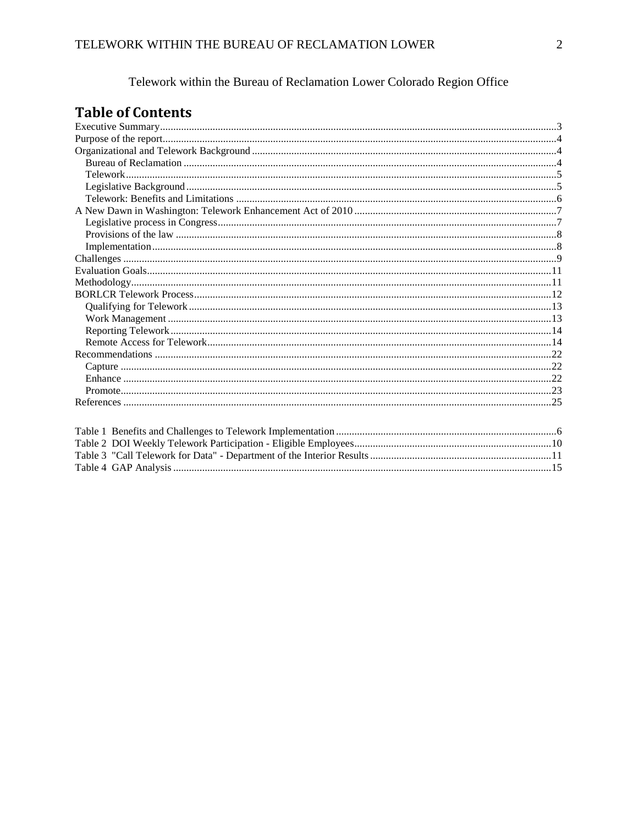Telework within the Bureau of Reclamation Lower Colorado Region Office

## **Table of Contents**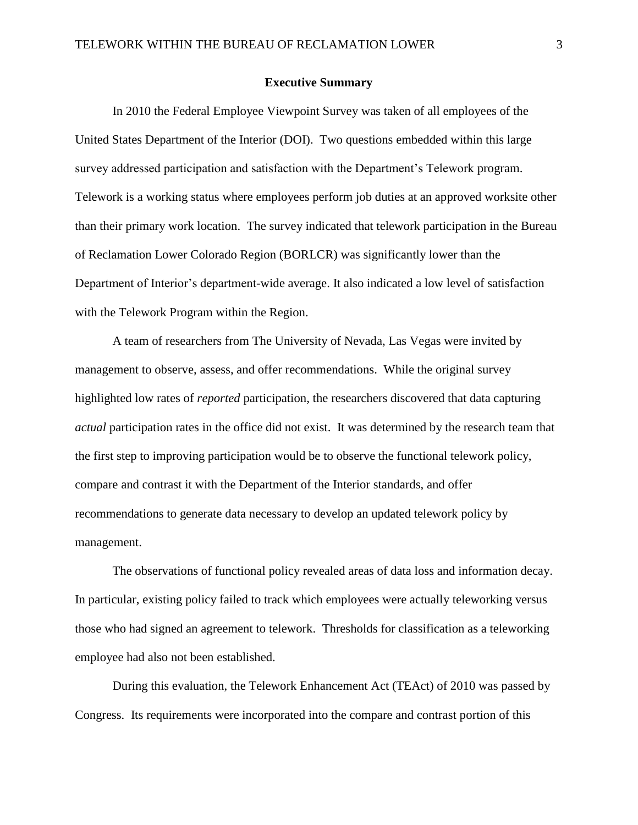#### **Executive Summary**

<span id="page-3-0"></span>In 2010 the Federal Employee Viewpoint Survey was taken of all employees of the United States Department of the Interior (DOI). Two questions embedded within this large survey addressed participation and satisfaction with the Department's Telework program. Telework is a working status where employees perform job duties at an approved worksite other than their primary work location. The survey indicated that telework participation in the Bureau of Reclamation Lower Colorado Region (BORLCR) was significantly lower than the Department of Interior's department-wide average. It also indicated a low level of satisfaction with the Telework Program within the Region.

A team of researchers from The University of Nevada, Las Vegas were invited by management to observe, assess, and offer recommendations. While the original survey highlighted low rates of *reported* participation, the researchers discovered that data capturing *actual* participation rates in the office did not exist. It was determined by the research team that the first step to improving participation would be to observe the functional telework policy, compare and contrast it with the Department of the Interior standards, and offer recommendations to generate data necessary to develop an updated telework policy by management.

The observations of functional policy revealed areas of data loss and information decay. In particular, existing policy failed to track which employees were actually teleworking versus those who had signed an agreement to telework. Thresholds for classification as a teleworking employee had also not been established.

During this evaluation, the Telework Enhancement Act (TEAct) of 2010 was passed by Congress. Its requirements were incorporated into the compare and contrast portion of this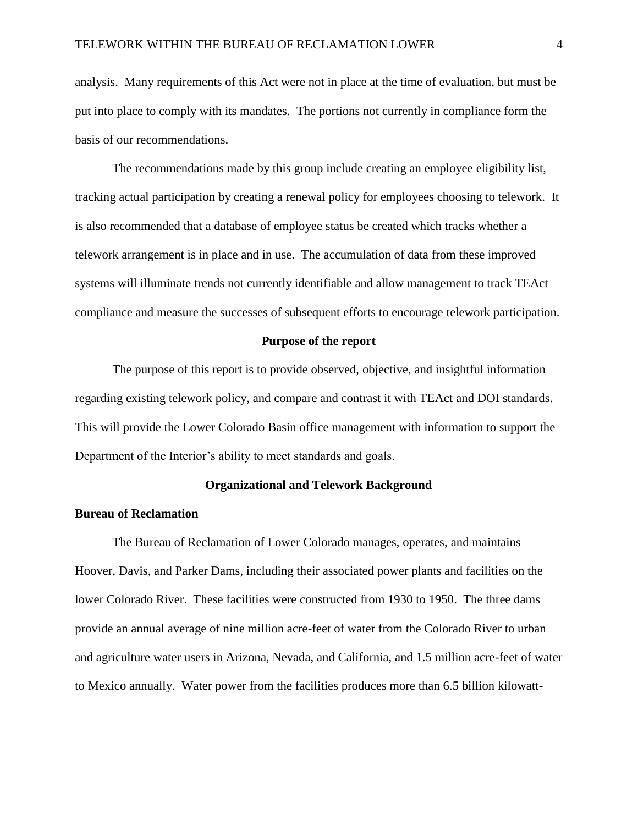analysis. Many requirements of this Act were not in place at the time of evaluation, but must be put into place to comply with its mandates. The portions not currently in compliance form the basis of our recommendations.

The recommendations made by this group include creating an employee eligibility list, tracking actual participation by creating a renewal policy for employees choosing to telework. It is also recommended that a database of employee status be created which tracks whether a telework arrangement is in place and in use. The accumulation of data from these improved systems will illuminate trends not currently identifiable and allow management to track TEAct compliance and measure the successes of subsequent efforts to encourage telework participation.

#### **Purpose of the report**

<span id="page-4-0"></span>The purpose of this report is to provide observed, objective, and insightful information regarding existing telework policy, and compare and contrast it with TEAct and DOI standards. This will provide the Lower Colorado Basin office management with information to support the Department of the Interior's ability to meet standards and goals.

#### **Organizational and Telework Background**

#### <span id="page-4-2"></span><span id="page-4-1"></span>**Bureau of Reclamation**

The Bureau of Reclamation of Lower Colorado manages, operates, and maintains Hoover, Davis, and Parker Dams, including their associated power plants and facilities on the lower Colorado River. These facilities were constructed from 1930 to 1950. The three dams provide an annual average of nine million acre-feet of water from the Colorado River to urban and agriculture water users in Arizona, Nevada, and California, and 1.5 million acre-feet of water to Mexico annually. Water power from the facilities produces more than 6.5 billion kilowatt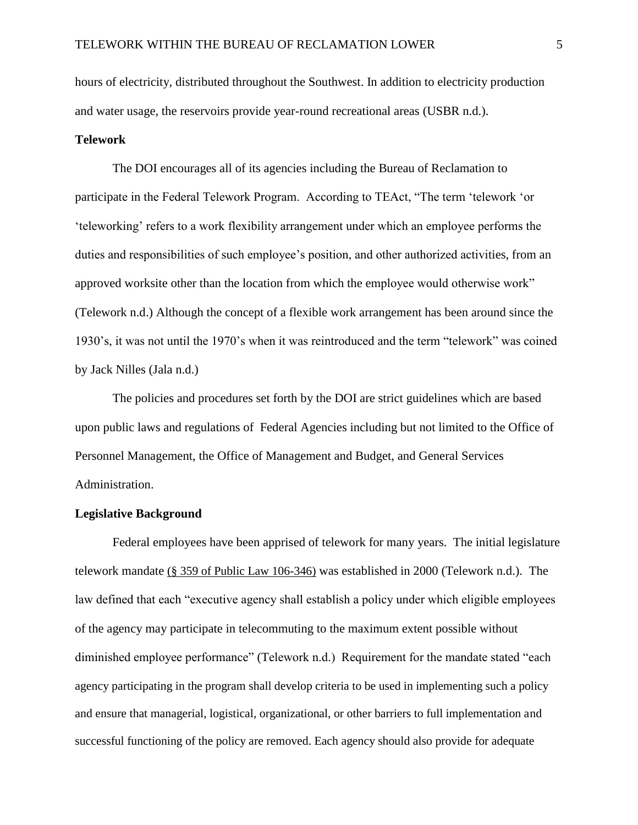hours of electricity, distributed throughout the Southwest. In addition to electricity production and water usage, the reservoirs provide year-round recreational areas (USBR n.d.).

#### <span id="page-5-0"></span>**Telework**

The DOI encourages all of its agencies including the Bureau of Reclamation to participate in the Federal Telework Program. According to TEAct, "The term 'telework 'or ‗teleworking' refers to a work flexibility arrangement under which an employee performs the duties and responsibilities of such employee's position, and other authorized activities, from an approved worksite other than the location from which the employee would otherwise work" (Telework n.d.) Although the concept of a flexible work arrangement has been around since the 1930's, it was not until the 1970's when it was reintroduced and the term "telework" was coined by Jack Nilles (Jala n.d.)

The policies and procedures set forth by the DOI are strict guidelines which are based upon public laws and regulations of Federal Agencies including but not limited to the Office of Personnel Management, the Office of Management and Budget, and General Services Administration.

#### <span id="page-5-1"></span>**Legislative Background**

Federal employees have been apprised of telework for many years. The initial legislature telework mandate (§ 359 of Public Law 106-346) was established in 2000 (Telework n.d.). The law defined that each "executive agency shall establish a policy under which eligible employees of the agency may participate in telecommuting to the maximum extent possible without diminished employee performance" (Telework n.d.) Requirement for the mandate stated "each agency participating in the program shall develop criteria to be used in implementing such a policy and ensure that managerial, logistical, organizational, or other barriers to full implementation and successful functioning of the policy are removed. Each agency should also provide for adequate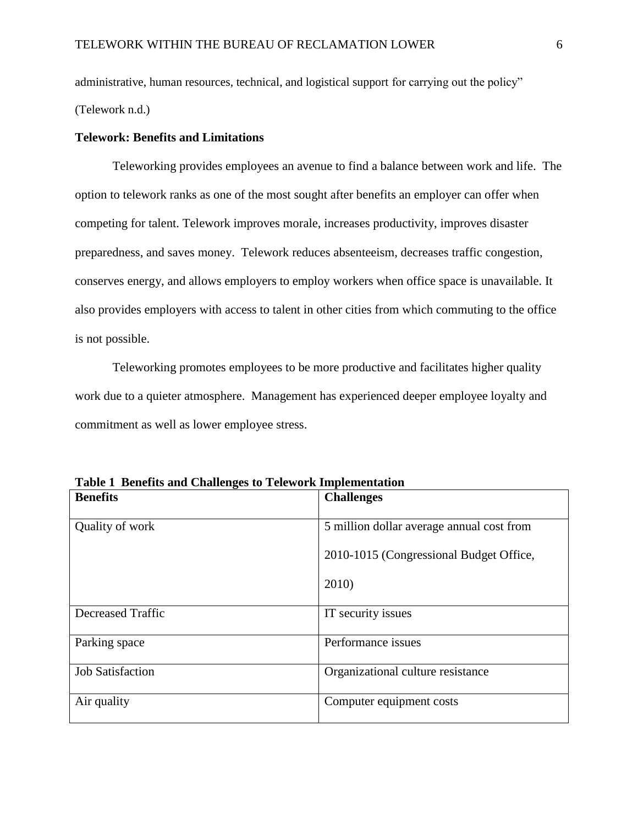administrative, human resources, technical, and logistical support for carrying out the policy" (Telework n.d.)

#### <span id="page-6-0"></span>**Telework: Benefits and Limitations**

Teleworking provides employees an avenue to find a balance between work and life. The option to telework ranks as one of the most sought after benefits an employer can offer when competing for talent. Telework improves morale, increases productivity, improves disaster preparedness, and saves money. Telework reduces absenteeism, decreases traffic congestion, conserves energy, and allows employers to employ workers when office space is unavailable. It also provides employers with access to talent in other cities from which commuting to the office is not possible.

Teleworking promotes employees to be more productive and facilitates higher quality work due to a quieter atmosphere. Management has experienced deeper employee loyalty and commitment as well as lower employee stress.

| <b>Benefits</b>          | <b>Challenges</b>                         |
|--------------------------|-------------------------------------------|
| Quality of work          | 5 million dollar average annual cost from |
|                          | 2010-1015 (Congressional Budget Office,   |
|                          | 2010)                                     |
| <b>Decreased Traffic</b> | IT security issues                        |
| Parking space            | Performance issues                        |
| <b>Job Satisfaction</b>  | Organizational culture resistance         |
| Air quality              | Computer equipment costs                  |

**Table 1 Benefits and Challenges to Telework Implementation**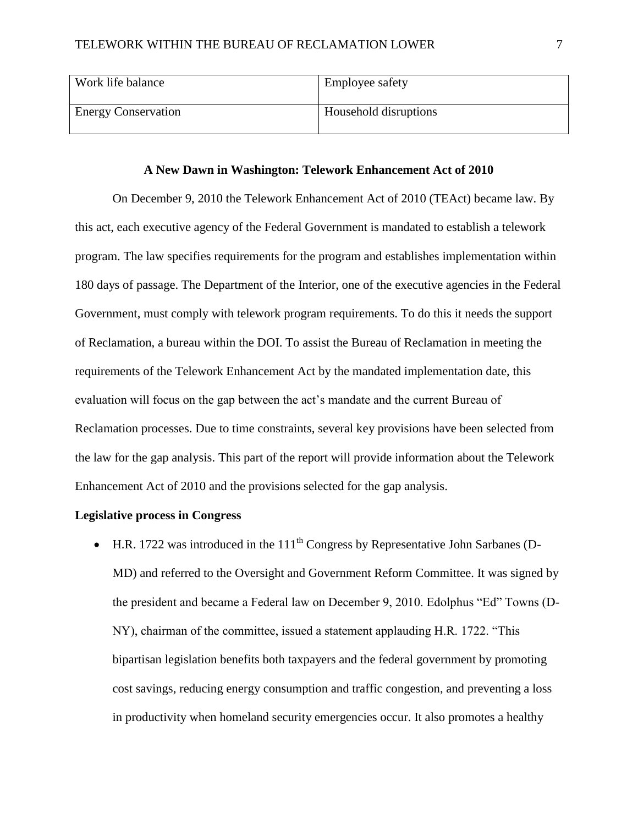| Work life balance          | <b>Employee safety</b> |
|----------------------------|------------------------|
| <b>Energy Conservation</b> | Household disruptions  |

#### **A New Dawn in Washington: Telework Enhancement Act of 2010**

<span id="page-7-0"></span>On December 9, 2010 the Telework Enhancement Act of 2010 (TEAct) became law. By this act, each executive agency of the Federal Government is mandated to establish a telework program. The law specifies requirements for the program and establishes implementation within 180 days of passage. The Department of the Interior, one of the executive agencies in the Federal Government, must comply with telework program requirements. To do this it needs the support of Reclamation, a bureau within the DOI. To assist the Bureau of Reclamation in meeting the requirements of the Telework Enhancement Act by the mandated implementation date, this evaluation will focus on the gap between the act's mandate and the current Bureau of Reclamation processes. Due to time constraints, several key provisions have been selected from the law for the gap analysis. This part of the report will provide information about the Telework Enhancement Act of 2010 and the provisions selected for the gap analysis.

#### <span id="page-7-1"></span>**Legislative process in Congress**

 $\bullet$  H.R. 1722 was introduced in the 111<sup>th</sup> Congress by Representative John Sarbanes (D-MD) and referred to the Oversight and Government Reform Committee. It was signed by the president and became a Federal law on December 9, 2010. Edolphus "Ed" Towns (D-NY), chairman of the committee, issued a statement applauding H.R. 1722. "This bipartisan legislation benefits both taxpayers and the federal government by promoting cost savings, reducing energy consumption and traffic congestion, and preventing a loss in productivity when homeland security emergencies occur. It also promotes a healthy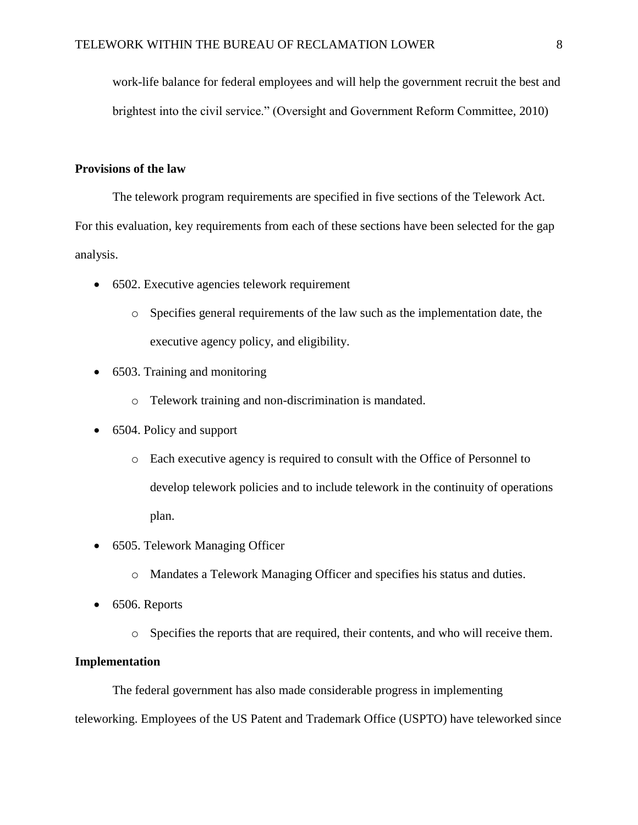work-life balance for federal employees and will help the government recruit the best and brightest into the civil service." (Oversight and Government Reform Committee, 2010)

#### <span id="page-8-0"></span>**Provisions of the law**

The telework program requirements are specified in five sections of the Telework Act.

For this evaluation, key requirements from each of these sections have been selected for the gap analysis.

- 6502. Executive agencies telework requirement
	- o Specifies general requirements of the law such as the implementation date, the executive agency policy, and eligibility.
- 6503. Training and monitoring
	- o Telework training and non-discrimination is mandated.
- 6504. Policy and support
	- o Each executive agency is required to consult with the Office of Personnel to develop telework policies and to include telework in the continuity of operations plan.
- 6505. Telework Managing Officer
	- o Mandates a Telework Managing Officer and specifies his status and duties.
- $\bullet$  6506. Reports
	- o Specifies the reports that are required, their contents, and who will receive them.

#### <span id="page-8-1"></span>**Implementation**

The federal government has also made considerable progress in implementing teleworking. Employees of the US Patent and Trademark Office (USPTO) have teleworked since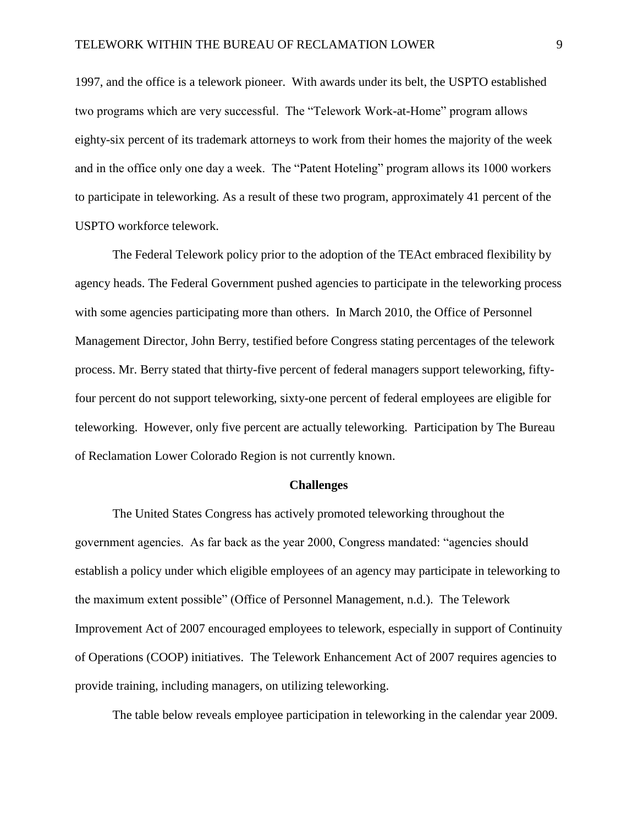1997, and the office is a telework pioneer. With awards under its belt, the USPTO established two programs which are very successful. The "Telework Work-at-Home" program allows eighty-six percent of its trademark attorneys to work from their homes the majority of the week and in the office only one day a week. The "Patent Hoteling" program allows its 1000 workers to participate in teleworking. As a result of these two program, approximately 41 percent of the USPTO workforce telework.

The Federal Telework policy prior to the adoption of the TEAct embraced flexibility by agency heads. The Federal Government pushed agencies to participate in the teleworking process with some agencies participating more than others. In March 2010, the Office of Personnel Management Director, John Berry, testified before Congress stating percentages of the telework process. Mr. Berry stated that thirty-five percent of federal managers support teleworking, fiftyfour percent do not support teleworking, sixty-one percent of federal employees are eligible for teleworking. However, only five percent are actually teleworking. Participation by The Bureau of Reclamation Lower Colorado Region is not currently known.

#### **Challenges**

<span id="page-9-0"></span>The United States Congress has actively promoted teleworking throughout the government agencies. As far back as the year 2000, Congress mandated: "agencies should establish a policy under which eligible employees of an agency may participate in teleworking to the maximum extent possible" (Office of Personnel Management, n.d.). The Telework Improvement Act of 2007 encouraged employees to telework, especially in support of Continuity of Operations (COOP) initiatives. The Telework Enhancement Act of 2007 requires agencies to provide training, including managers, on utilizing teleworking.

The table below reveals employee participation in teleworking in the calendar year 2009.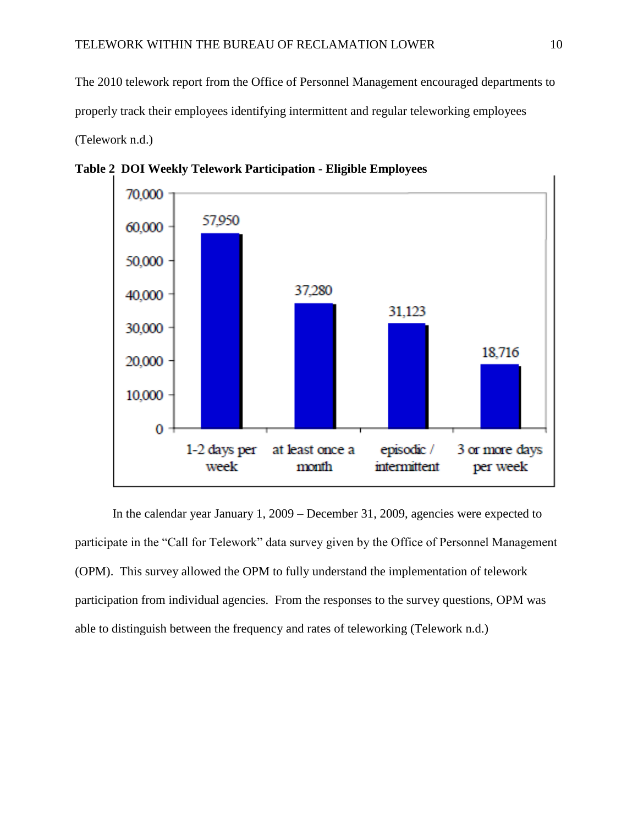The 2010 telework report from the Office of Personnel Management encouraged departments to properly track their employees identifying intermittent and regular teleworking employees (Telework n.d.)



**Table 2 DOI Weekly Telework Participation - Eligible Employees**

In the calendar year January 1, 2009 – December 31, 2009, agencies were expected to participate in the "Call for Telework" data survey given by the Office of Personnel Management (OPM). This survey allowed the OPM to fully understand the implementation of telework participation from individual agencies. From the responses to the survey questions, OPM was able to distinguish between the frequency and rates of teleworking (Telework n.d.)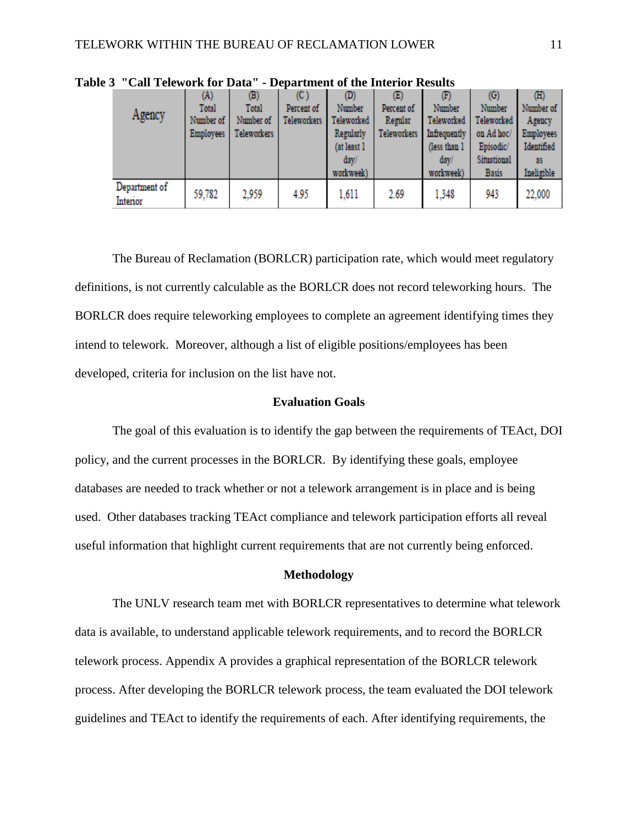|                           | (A)              | (B)                | (C)                | (D)         | $(\mathbb{E})$     | (F)          | (G)          | (III)            |
|---------------------------|------------------|--------------------|--------------------|-------------|--------------------|--------------|--------------|------------------|
|                           | Total            | Total              | Percent of         | Number      | Percent of         | Number       | Number       | Number of        |
| Agency                    | Number of        | Number of          | <b>Teleworkers</b> | Teleworked  | Regular            | Teleworked   | Teleworked   | Agency           |
|                           | <b>Employees</b> | <b>Teleworkers</b> |                    | Regularly   | <b>Teleworkers</b> | Infrequently | on Ad hoc/   | <b>Employees</b> |
|                           |                  |                    |                    | (at least 1 |                    | (less than 1 | Episodic/    | Identified       |
|                           |                  |                    |                    | day/        |                    | day/         | Situational  | 35               |
|                           |                  |                    |                    | workweek)   |                    | workweek)    | <b>Basis</b> | Ineligible       |
| Department of<br>Interior | 59,782           | 2.959              | 4.95               | 1.611       | 2.69               | 1.348        | 943          | 22,000           |

**Table 3 "Call Telework for Data" - Department of the Interior Results**

The Bureau of Reclamation (BORLCR) participation rate, which would meet regulatory definitions, is not currently calculable as the BORLCR does not record teleworking hours. The BORLCR does require teleworking employees to complete an agreement identifying times they intend to telework. Moreover, although a list of eligible positions/employees has been developed, criteria for inclusion on the list have not.

#### **Evaluation Goals**

<span id="page-11-0"></span>The goal of this evaluation is to identify the gap between the requirements of TEAct, DOI policy, and the current processes in the BORLCR. By identifying these goals, employee databases are needed to track whether or not a telework arrangement is in place and is being used. Other databases tracking TEAct compliance and telework participation efforts all reveal useful information that highlight current requirements that are not currently being enforced.

#### **Methodology**

<span id="page-11-1"></span>The UNLV research team met with BORLCR representatives to determine what telework data is available, to understand applicable telework requirements, and to record the BORLCR telework process. Appendix A provides a graphical representation of the BORLCR telework process. After developing the BORLCR telework process, the team evaluated the DOI telework guidelines and TEAct to identify the requirements of each. After identifying requirements, the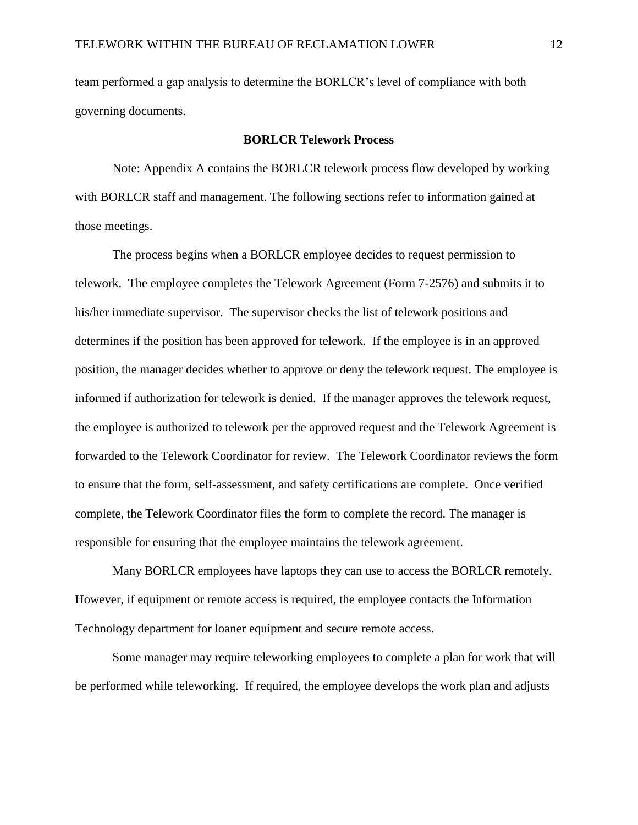team performed a gap analysis to determine the BORLCR's level of compliance with both governing documents.

#### **BORLCR Telework Process**

<span id="page-12-0"></span>Note: Appendix A contains the BORLCR telework process flow developed by working with BORLCR staff and management. The following sections refer to information gained at those meetings.

The process begins when a BORLCR employee decides to request permission to telework. The employee completes the Telework Agreement (Form 7-2576) and submits it to his/her immediate supervisor. The supervisor checks the list of telework positions and determines if the position has been approved for telework. If the employee is in an approved position, the manager decides whether to approve or deny the telework request. The employee is informed if authorization for telework is denied. If the manager approves the telework request, the employee is authorized to telework per the approved request and the Telework Agreement is forwarded to the Telework Coordinator for review. The Telework Coordinator reviews the form to ensure that the form, self-assessment, and safety certifications are complete. Once verified complete, the Telework Coordinator files the form to complete the record. The manager is responsible for ensuring that the employee maintains the telework agreement.

Many BORLCR employees have laptops they can use to access the BORLCR remotely. However, if equipment or remote access is required, the employee contacts the Information Technology department for loaner equipment and secure remote access.

Some manager may require teleworking employees to complete a plan for work that will be performed while teleworking. If required, the employee develops the work plan and adjusts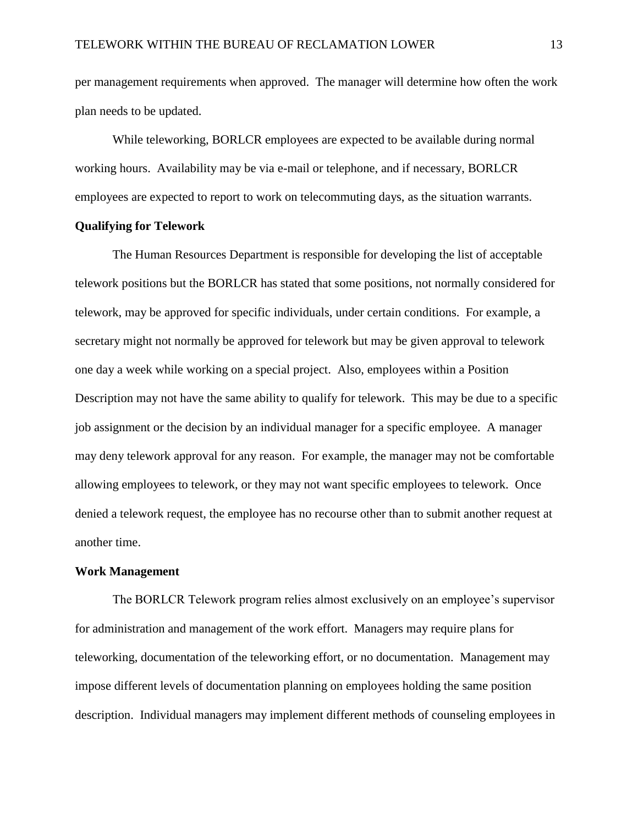per management requirements when approved. The manager will determine how often the work plan needs to be updated.

While teleworking, BORLCR employees are expected to be available during normal working hours. Availability may be via e-mail or telephone, and if necessary, BORLCR employees are expected to report to work on telecommuting days, as the situation warrants.

#### <span id="page-13-0"></span>**Qualifying for Telework**

The Human Resources Department is responsible for developing the list of acceptable telework positions but the BORLCR has stated that some positions, not normally considered for telework, may be approved for specific individuals, under certain conditions. For example, a secretary might not normally be approved for telework but may be given approval to telework one day a week while working on a special project. Also, employees within a Position Description may not have the same ability to qualify for telework. This may be due to a specific job assignment or the decision by an individual manager for a specific employee. A manager may deny telework approval for any reason. For example, the manager may not be comfortable allowing employees to telework, or they may not want specific employees to telework. Once denied a telework request, the employee has no recourse other than to submit another request at another time.

#### <span id="page-13-1"></span>**Work Management**

The BORLCR Telework program relies almost exclusively on an employee's supervisor for administration and management of the work effort. Managers may require plans for teleworking, documentation of the teleworking effort, or no documentation. Management may impose different levels of documentation planning on employees holding the same position description. Individual managers may implement different methods of counseling employees in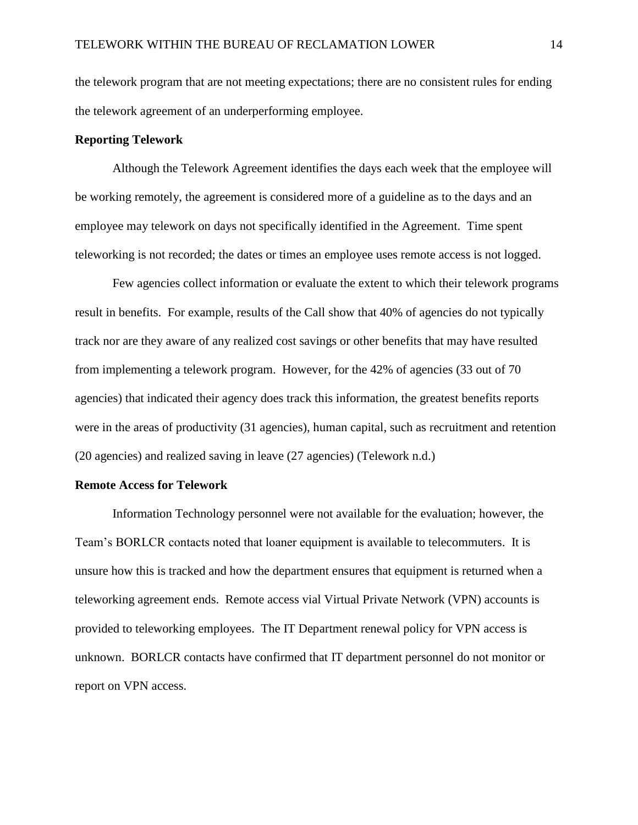the telework program that are not meeting expectations; there are no consistent rules for ending the telework agreement of an underperforming employee.

#### <span id="page-14-0"></span>**Reporting Telework**

Although the Telework Agreement identifies the days each week that the employee will be working remotely, the agreement is considered more of a guideline as to the days and an employee may telework on days not specifically identified in the Agreement. Time spent teleworking is not recorded; the dates or times an employee uses remote access is not logged.

Few agencies collect information or evaluate the extent to which their telework programs result in benefits. For example, results of the Call show that 40% of agencies do not typically track nor are they aware of any realized cost savings or other benefits that may have resulted from implementing a telework program. However, for the 42% of agencies (33 out of 70 agencies) that indicated their agency does track this information, the greatest benefits reports were in the areas of productivity (31 agencies), human capital, such as recruitment and retention (20 agencies) and realized saving in leave (27 agencies) (Telework n.d.)

#### <span id="page-14-1"></span>**Remote Access for Telework**

Information Technology personnel were not available for the evaluation; however, the Team's BORLCR contacts noted that loaner equipment is available to telecommuters. It is unsure how this is tracked and how the department ensures that equipment is returned when a teleworking agreement ends. Remote access vial Virtual Private Network (VPN) accounts is provided to teleworking employees. The IT Department renewal policy for VPN access is unknown. BORLCR contacts have confirmed that IT department personnel do not monitor or report on VPN access.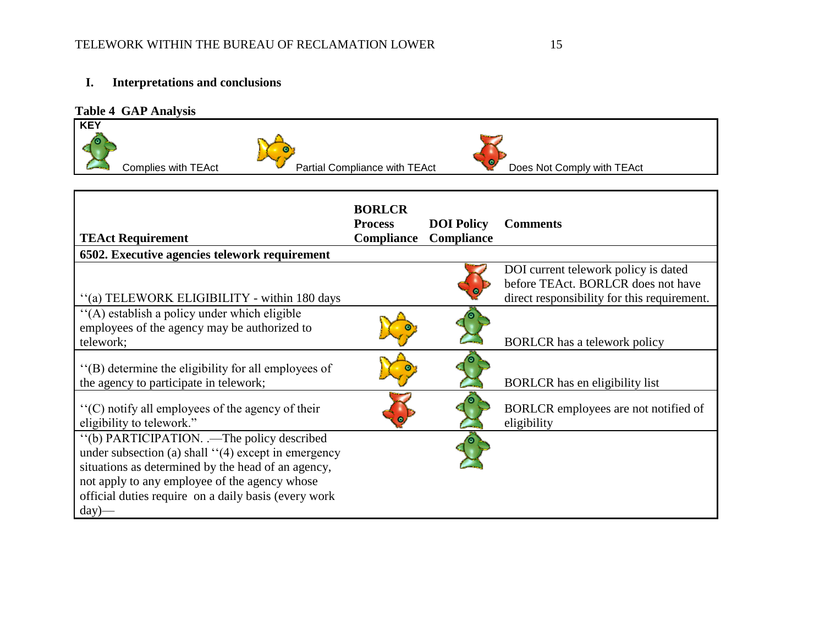## **I. Interpretations and conclusions**

#### **Table 4 GAP Analysis**



| <b>TEAct Requirement</b>                                                                                                                                                                                                                                                         | <b>BORLCR</b><br><b>Process</b><br>Compliance | <b>DOI</b> Policy<br><b>Compliance</b> | <b>Comments</b>                                                                                                           |
|----------------------------------------------------------------------------------------------------------------------------------------------------------------------------------------------------------------------------------------------------------------------------------|-----------------------------------------------|----------------------------------------|---------------------------------------------------------------------------------------------------------------------------|
| 6502. Executive agencies telework requirement                                                                                                                                                                                                                                    |                                               |                                        |                                                                                                                           |
| "(a) TELEWORK ELIGIBILITY - within 180 days                                                                                                                                                                                                                                      |                                               |                                        | DOI current telework policy is dated<br>before TEAct. BORLCR does not have<br>direct responsibility for this requirement. |
| "(A) establish a policy under which eligible<br>employees of the agency may be authorized to<br>telework;                                                                                                                                                                        |                                               |                                        | <b>BORLCR</b> has a telework policy                                                                                       |
| "(B) determine the eligibility for all employees of<br>the agency to participate in telework;                                                                                                                                                                                    |                                               |                                        | BORLCR has en eligibility list                                                                                            |
| "(C) notify all employees of the agency of their<br>eligibility to telework."                                                                                                                                                                                                    |                                               |                                        | BORLCR employees are not notified of<br>eligibility                                                                       |
| "(b) PARTICIPATION. .—The policy described<br>under subsection (a) shall $\lq(4)$ except in emergency<br>situations as determined by the head of an agency,<br>not apply to any employee of the agency whose<br>official duties require on a daily basis (every work<br>$day)$ — |                                               |                                        |                                                                                                                           |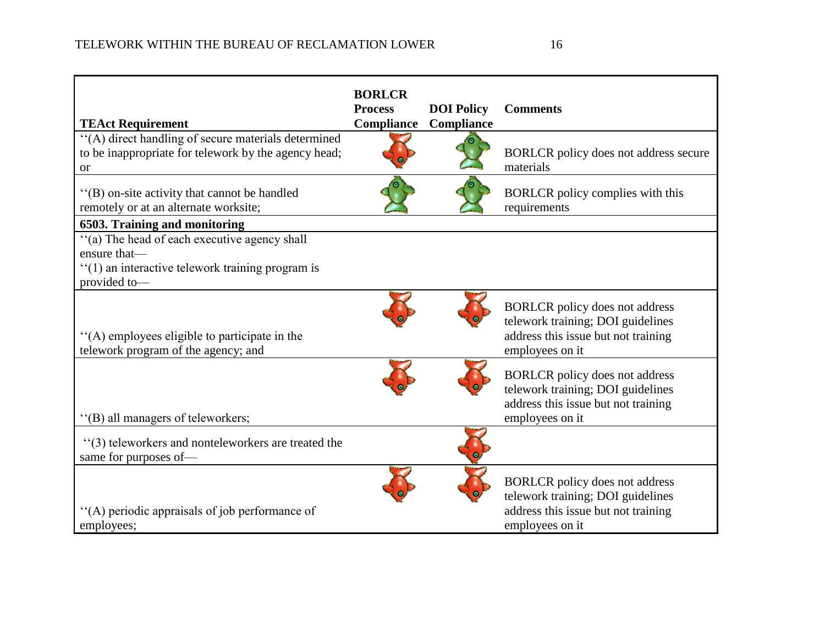| <b>TEAct Requirement</b>                                                                                                            | <b>BORLCR</b><br><b>Process</b><br>Compliance | <b>DOI</b> Policy<br>Compliance | <b>Comments</b>                                                                                                                      |
|-------------------------------------------------------------------------------------------------------------------------------------|-----------------------------------------------|---------------------------------|--------------------------------------------------------------------------------------------------------------------------------------|
| "(A) direct handling of secure materials determined<br>to be inappropriate for telework by the agency head;<br><b>or</b>            |                                               |                                 | BORLCR policy does not address secure<br>materials                                                                                   |
| "(B) on-site activity that cannot be handled<br>remotely or at an alternate worksite;                                               |                                               |                                 | BORLCR policy complies with this<br>requirements                                                                                     |
| 6503. Training and monitoring                                                                                                       |                                               |                                 |                                                                                                                                      |
| "(a) The head of each executive agency shall<br>ensure that-<br>$f'(1)$ an interactive telework training program is<br>provided to- |                                               |                                 |                                                                                                                                      |
| "(A) employees eligible to participate in the<br>telework program of the agency; and                                                |                                               |                                 | <b>BORLCR</b> policy does not address<br>telework training; DOI guidelines<br>address this issue but not training<br>employees on it |
| "(B) all managers of teleworkers;                                                                                                   |                                               |                                 | <b>BORLCR</b> policy does not address<br>telework training; DOI guidelines<br>address this issue but not training<br>employees on it |
| "(3) teleworkers and nonteleworkers are treated the<br>same for purposes of-                                                        |                                               |                                 |                                                                                                                                      |
| "(A) periodic appraisals of job performance of<br>employees;                                                                        |                                               |                                 | <b>BORLCR</b> policy does not address<br>telework training; DOI guidelines<br>address this issue but not training<br>employees on it |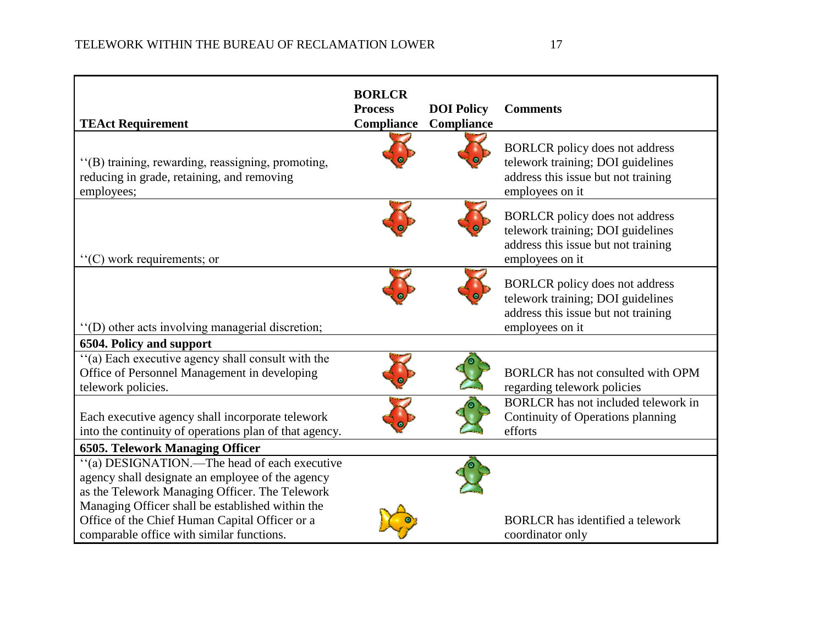| <b>TEAct Requirement</b>                                                                                                                                                                                                                                 | <b>BORLCR</b><br><b>Process</b><br><b>Compliance</b> | <b>DOI</b> Policy<br>Compliance | <b>Comments</b>                                                                                                               |
|----------------------------------------------------------------------------------------------------------------------------------------------------------------------------------------------------------------------------------------------------------|------------------------------------------------------|---------------------------------|-------------------------------------------------------------------------------------------------------------------------------|
| "(B) training, rewarding, reassigning, promoting,<br>reducing in grade, retaining, and removing<br>employees;                                                                                                                                            |                                                      |                                 | BORLCR policy does not address<br>telework training; DOI guidelines<br>address this issue but not training<br>employees on it |
| $C$ ) work requirements; or                                                                                                                                                                                                                              |                                                      |                                 | BORLCR policy does not address<br>telework training; DOI guidelines<br>address this issue but not training<br>employees on it |
| "(D) other acts involving managerial discretion;                                                                                                                                                                                                         |                                                      |                                 | BORLCR policy does not address<br>telework training; DOI guidelines<br>address this issue but not training<br>employees on it |
| 6504. Policy and support                                                                                                                                                                                                                                 |                                                      |                                 |                                                                                                                               |
| "(a) Each executive agency shall consult with the<br>Office of Personnel Management in developing<br>telework policies.                                                                                                                                  |                                                      |                                 | BORLCR has not consulted with OPM<br>regarding telework policies                                                              |
| Each executive agency shall incorporate telework<br>into the continuity of operations plan of that agency.                                                                                                                                               |                                                      |                                 | BORLCR has not included telework in<br>Continuity of Operations planning<br>efforts                                           |
| <b>6505. Telework Managing Officer</b>                                                                                                                                                                                                                   |                                                      |                                 |                                                                                                                               |
| "(a) DESIGNATION.—The head of each executive<br>agency shall designate an employee of the agency<br>as the Telework Managing Officer. The Telework<br>Managing Officer shall be established within the<br>Office of the Chief Human Capital Officer or a |                                                      |                                 | <b>BORLCR</b> has identified a telework                                                                                       |
| comparable office with similar functions.                                                                                                                                                                                                                |                                                      |                                 | coordinator only                                                                                                              |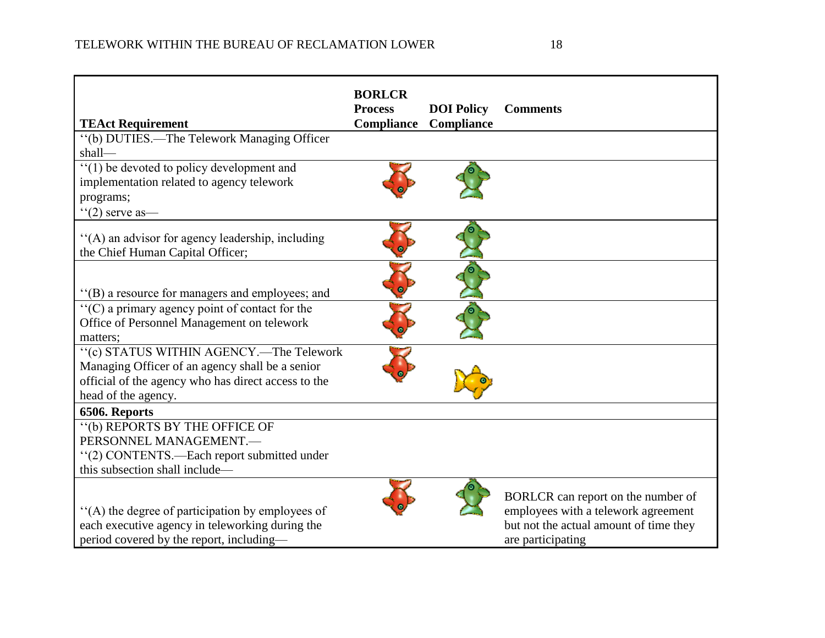| <b>TEAct Requirement</b>                                                                                                                                                 | <b>BORLCR</b><br><b>Process</b><br>Compliance | <b>DOI</b> Policy<br>Compliance | <b>Comments</b>                                                                                                                          |
|--------------------------------------------------------------------------------------------------------------------------------------------------------------------------|-----------------------------------------------|---------------------------------|------------------------------------------------------------------------------------------------------------------------------------------|
| "(b) DUTIES.—The Telework Managing Officer<br>$shall$ —                                                                                                                  |                                               |                                 |                                                                                                                                          |
| "(1) be devoted to policy development and<br>implementation related to agency telework<br>programs;<br>$f'(2)$ serve as —                                                |                                               |                                 |                                                                                                                                          |
| "(A) an advisor for agency leadership, including<br>the Chief Human Capital Officer;                                                                                     |                                               |                                 |                                                                                                                                          |
| "(B) a resource for managers and employees; and                                                                                                                          |                                               |                                 |                                                                                                                                          |
| $C(C)$ a primary agency point of contact for the<br>Office of Personnel Management on telework<br>matters:                                                               |                                               |                                 |                                                                                                                                          |
| "(c) STATUS WITHIN AGENCY.—The Telework<br>Managing Officer of an agency shall be a senior<br>official of the agency who has direct access to the<br>head of the agency. |                                               |                                 |                                                                                                                                          |
| 6506. Reports                                                                                                                                                            |                                               |                                 |                                                                                                                                          |
| "(b) REPORTS BY THE OFFICE OF<br>PERSONNEL MANAGEMENT.-<br>"(2) CONTENTS.—Each report submitted under<br>this subsection shall include—                                  |                                               |                                 |                                                                                                                                          |
| "(A) the degree of participation by employees of<br>each executive agency in teleworking during the<br>period covered by the report, including-                          |                                               |                                 | BORLCR can report on the number of<br>employees with a telework agreement<br>but not the actual amount of time they<br>are participating |

the control of the control of the control of the control of the control of the control of the control of the control of the control of the control of the control of the control of the control of the control of the control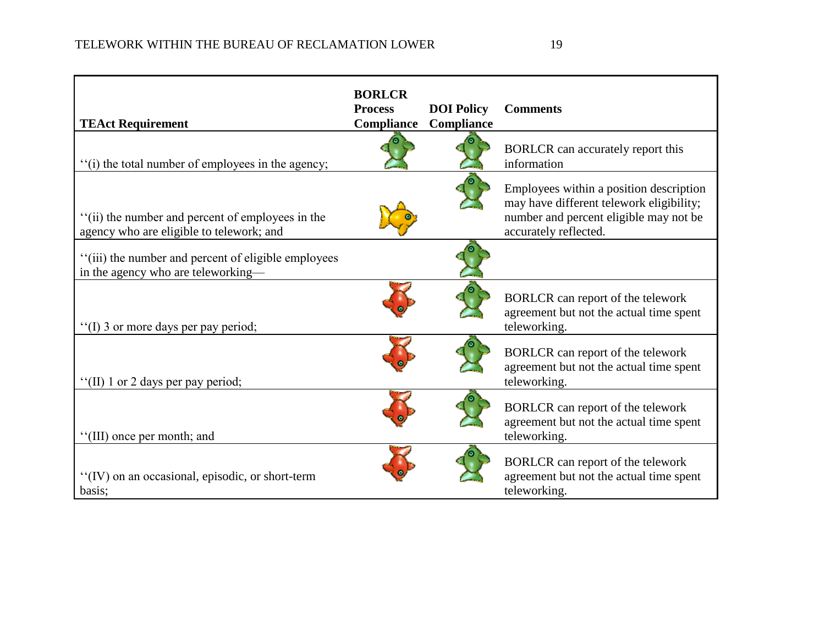| <b>TEAct Requirement</b>                                                                     | <b>BORLCR</b><br><b>Process</b><br>Compliance | <b>DOI</b> Policy<br><b>Compliance</b> | <b>Comments</b>                                                                                                                                        |
|----------------------------------------------------------------------------------------------|-----------------------------------------------|----------------------------------------|--------------------------------------------------------------------------------------------------------------------------------------------------------|
| "(i) the total number of employees in the agency;                                            |                                               |                                        | BORLCR can accurately report this<br>information                                                                                                       |
| "(ii) the number and percent of employees in the<br>agency who are eligible to telework; and |                                               |                                        | Employees within a position description<br>may have different telework eligibility;<br>number and percent eligible may not be<br>accurately reflected. |
| "(iii) the number and percent of eligible employees<br>in the agency who are teleworking-    |                                               |                                        |                                                                                                                                                        |
| "(I) 3 or more days per pay period;                                                          |                                               |                                        | BORLCR can report of the telework<br>agreement but not the actual time spent<br>teleworking.                                                           |
| "(II) 1 or 2 days per pay period;                                                            |                                               |                                        | BORLCR can report of the telework<br>agreement but not the actual time spent<br>teleworking.                                                           |
| "(III) once per month; and                                                                   |                                               |                                        | BORLCR can report of the telework<br>agreement but not the actual time spent<br>teleworking.                                                           |
| "(IV) on an occasional, episodic, or short-term<br>basis;                                    |                                               |                                        | BORLCR can report of the telework<br>agreement but not the actual time spent<br>teleworking.                                                           |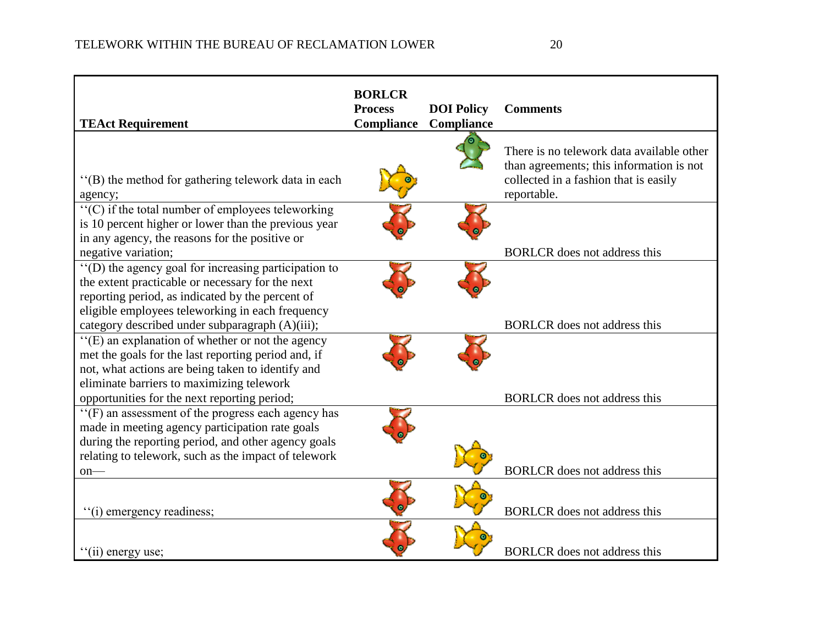| <b>TEAct Requirement</b>                                                                                                                                                                                                                                                      | <b>BORLCR</b><br><b>Process</b><br><b>Compliance</b> | <b>DOI</b> Policy<br>Compliance | <b>Comments</b>                                                                                                                               |
|-------------------------------------------------------------------------------------------------------------------------------------------------------------------------------------------------------------------------------------------------------------------------------|------------------------------------------------------|---------------------------------|-----------------------------------------------------------------------------------------------------------------------------------------------|
| "(B) the method for gathering telework data in each<br>agency;                                                                                                                                                                                                                |                                                      |                                 | There is no telework data available other<br>than agreements; this information is not<br>collected in a fashion that is easily<br>reportable. |
| "(C) if the total number of employees teleworking<br>is 10 percent higher or lower than the previous year<br>in any agency, the reasons for the positive or<br>negative variation;                                                                                            |                                                      |                                 | <b>BORLCR</b> does not address this                                                                                                           |
| "(D) the agency goal for increasing participation to<br>the extent practicable or necessary for the next<br>reporting period, as indicated by the percent of<br>eligible employees teleworking in each frequency<br>category described under subparagraph (A)(iii);           |                                                      |                                 | <b>BORLCR</b> does not address this                                                                                                           |
| "(E) an explanation of whether or not the agency<br>met the goals for the last reporting period and, if<br>not, what actions are being taken to identify and<br>eliminate barriers to maximizing telework                                                                     |                                                      |                                 | <b>BORLCR</b> does not address this                                                                                                           |
| opportunities for the next reporting period;<br>"(F) an assessment of the progress each agency has<br>made in meeting agency participation rate goals<br>during the reporting period, and other agency goals<br>relating to telework, such as the impact of telework<br>$on-$ |                                                      |                                 | <b>BORLCR</b> does not address this                                                                                                           |
| "(i) emergency readiness;                                                                                                                                                                                                                                                     |                                                      |                                 | <b>BORLCR</b> does not address this                                                                                                           |
| "(ii) energy use;                                                                                                                                                                                                                                                             |                                                      |                                 | <b>BORLCR</b> does not address this                                                                                                           |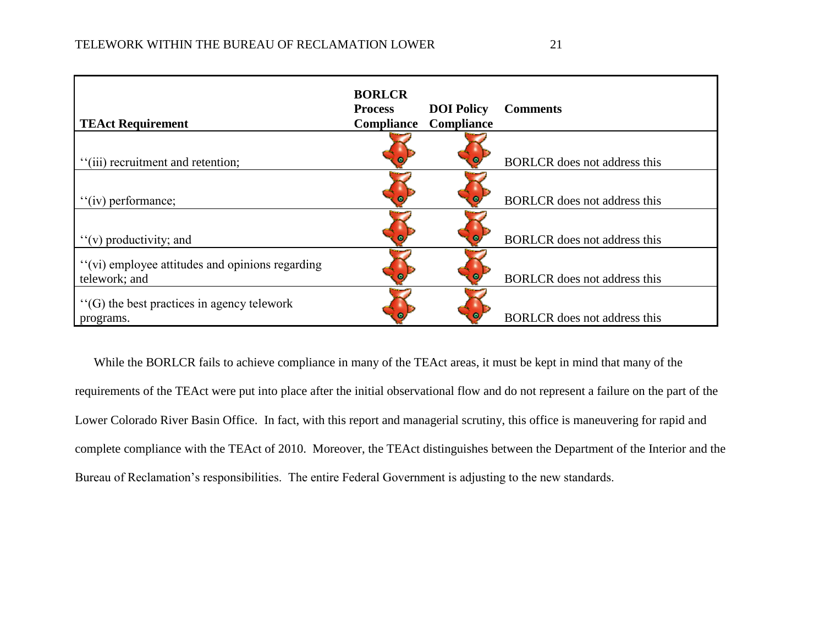| <b>TEAct Requirement</b>                                         | <b>BORLCR</b><br><b>Process</b><br>Compliance | <b>DOI</b> Policy<br><b>Compliance</b> | <b>Comments</b>                     |
|------------------------------------------------------------------|-----------------------------------------------|----------------------------------------|-------------------------------------|
| "(iii) recruitment and retention;                                |                                               |                                        | <b>BORLCR</b> does not address this |
| "(iv) performance;                                               |                                               |                                        | <b>BORLCR</b> does not address this |
| $f'(v)$ productivity; and                                        |                                               |                                        | BORLCR does not address this        |
| "(vi) employee attitudes and opinions regarding<br>telework; and |                                               |                                        | <b>BORLCR</b> does not address this |
| $\lq\lq$ (G) the best practices in agency telework<br>programs.  |                                               |                                        | <b>BORLCR</b> does not address this |

While the BORLCR fails to achieve compliance in many of the TEAct areas, it must be kept in mind that many of the requirements of the TEAct were put into place after the initial observational flow and do not represent a failure on the part of the Lower Colorado River Basin Office. In fact, with this report and managerial scrutiny, this office is maneuvering for rapid and complete compliance with the TEAct of 2010. Moreover, the TEAct distinguishes between the Department of the Interior and the Bureau of Reclamation's responsibilities. The entire Federal Government is adjusting to the new standards.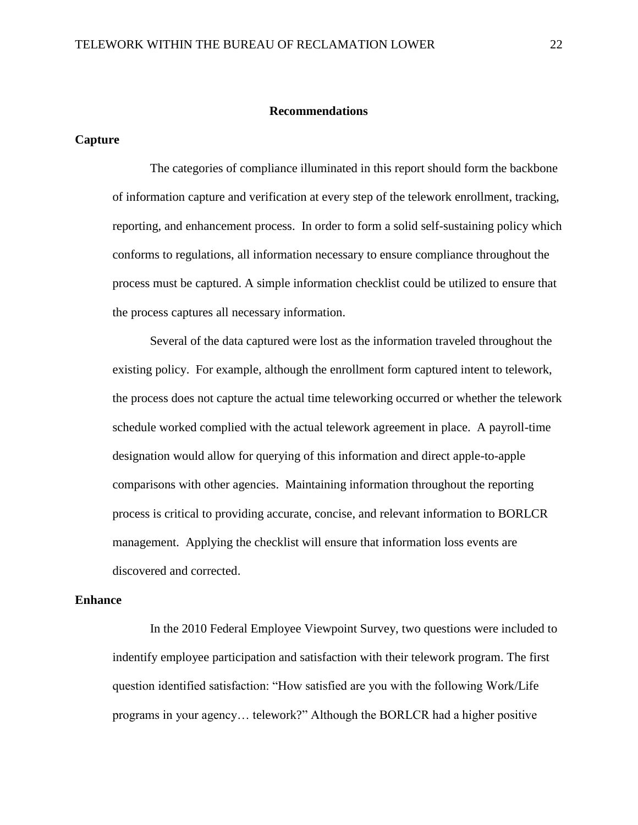#### **Recommendations**

#### <span id="page-22-1"></span><span id="page-22-0"></span>**Capture**

The categories of compliance illuminated in this report should form the backbone of information capture and verification at every step of the telework enrollment, tracking, reporting, and enhancement process. In order to form a solid self-sustaining policy which conforms to regulations, all information necessary to ensure compliance throughout the process must be captured. A simple information checklist could be utilized to ensure that the process captures all necessary information.

Several of the data captured were lost as the information traveled throughout the existing policy. For example, although the enrollment form captured intent to telework, the process does not capture the actual time teleworking occurred or whether the telework schedule worked complied with the actual telework agreement in place. A payroll-time designation would allow for querying of this information and direct apple-to-apple comparisons with other agencies. Maintaining information throughout the reporting process is critical to providing accurate, concise, and relevant information to BORLCR management. Applying the checklist will ensure that information loss events are discovered and corrected.

#### <span id="page-22-2"></span>**Enhance**

In the 2010 Federal Employee Viewpoint Survey, two questions were included to indentify employee participation and satisfaction with their telework program. The first question identified satisfaction: "How satisfied are you with the following Work/Life programs in your agency... telework?" Although the BORLCR had a higher positive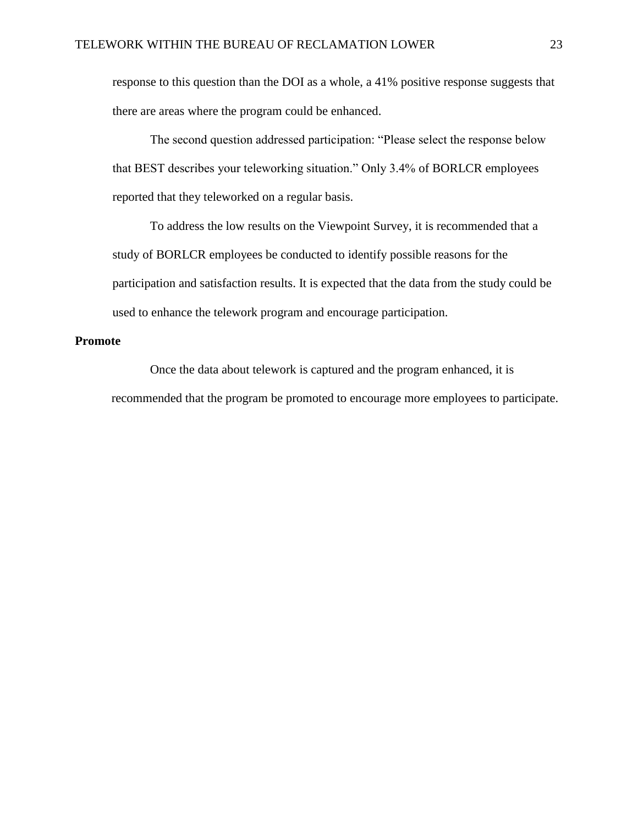response to this question than the DOI as a whole, a 41% positive response suggests that there are areas where the program could be enhanced.

The second question addressed participation: "Please select the response below that BEST describes your teleworking situation." Only 3.4% of BORLCR employees reported that they teleworked on a regular basis.

To address the low results on the Viewpoint Survey, it is recommended that a study of BORLCR employees be conducted to identify possible reasons for the participation and satisfaction results. It is expected that the data from the study could be used to enhance the telework program and encourage participation.

#### <span id="page-23-0"></span>**Promote**

Once the data about telework is captured and the program enhanced, it is recommended that the program be promoted to encourage more employees to participate.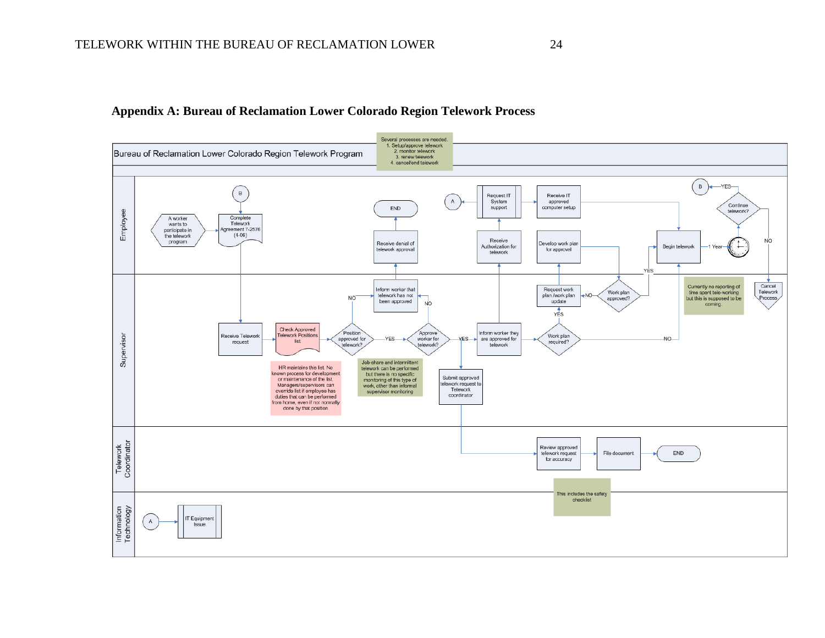#### **Appendix A: Bureau of Reclamation Lower Colorado Region Telework Process**